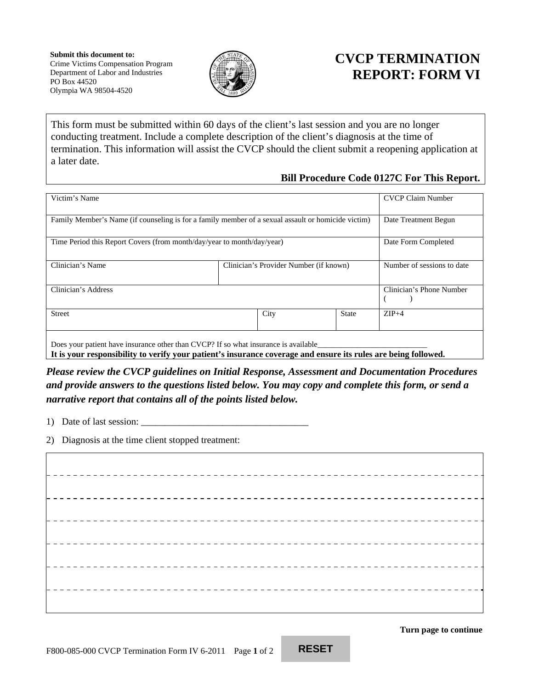

## **CVCP TERMINATION REPORT: FORM VI**

This form must be submitted within 60 days of the client's last session and you are no longer conducting treatment. Include a complete description of the client's diagnosis at the time of termination. This information will assist the CVCP should the client submit a reopening application at a later date.

## **Bill Procedure Code 0127C For This Report.**

| Victim's Name                                                                                                                                                                                          |                                        |                          | <b>CVCP Claim Number</b>   |
|--------------------------------------------------------------------------------------------------------------------------------------------------------------------------------------------------------|----------------------------------------|--------------------------|----------------------------|
| Family Member's Name (if counseling is for a family member of a sexual assault or homicide victim)                                                                                                     |                                        |                          | Date Treatment Begun       |
| Time Period this Report Covers (from month/day/year to month/day/year)                                                                                                                                 |                                        | Date Form Completed      |                            |
| Clinician's Name                                                                                                                                                                                       | Clinician's Provider Number (if known) |                          | Number of sessions to date |
| Clinician's Address                                                                                                                                                                                    |                                        | Clinician's Phone Number |                            |
| <b>Street</b>                                                                                                                                                                                          | City                                   | <b>State</b>             | $ZIP+4$                    |
| Does your patient have insurance other than CVCP? If so what insurance is available_<br>It is your responsibility to verify your patient's insurance coverage and ensure its rules are being followed. |                                        |                          |                            |

*Please review the CVCP guidelines on Initial Response, Assessment and Documentation Procedures and provide answers to the questions listed below. You may copy and complete this form, or send a narrative report that contains all of the points listed below.* 

- 1) Date of last session:
- 2) Diagnosis at the time client stopped treatment:

<u>------------------------</u> <u>\_\_\_\_\_\_\_\_\_\_\_\_\_\_\_\_\_\_\_\_\_\_\_\_</u> 

**Turn page to continue**